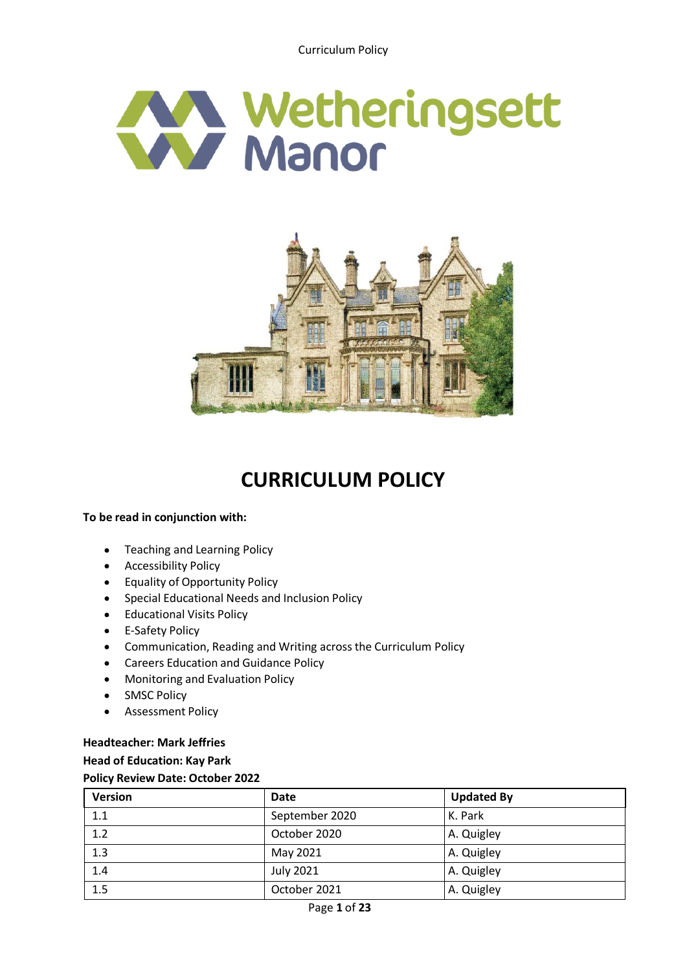Curriculum Policy





# **CURRICULUM POLICY**

# **To be read in conjunction with:**

- $\bullet$ Teaching and Learning Policy
- **•** Accessibility Policy
- Equality of Opportunity Policy
- Special Educational Needs and Inclusion Policy  $\bullet$
- Educational Visits Policy  $\bullet$
- E-Safety Policy  $\bullet$
- Communication, Reading and Writing across the Curriculum Policy
- Careers Education and Guidance Policy
- Monitoring and Evaluation Policy  $\bullet$
- SMSC Policy  $\bullet$
- $\bullet$ Assessment Policy

# **Headteacher: Mark Jeffries Head of Education: Kay Park Policy Review Date: October 2022**

| <b>Version</b> | Date             | <b>Updated By</b> |
|----------------|------------------|-------------------|
| 1.1            | September 2020   | K. Park           |
| 1.2            | October 2020     | A. Quigley        |
| 1.3            | May 2021         | A. Quigley        |
| 1.4            | <b>July 2021</b> | A. Quigley        |
| 1.5            | October 2021     | A. Quigley        |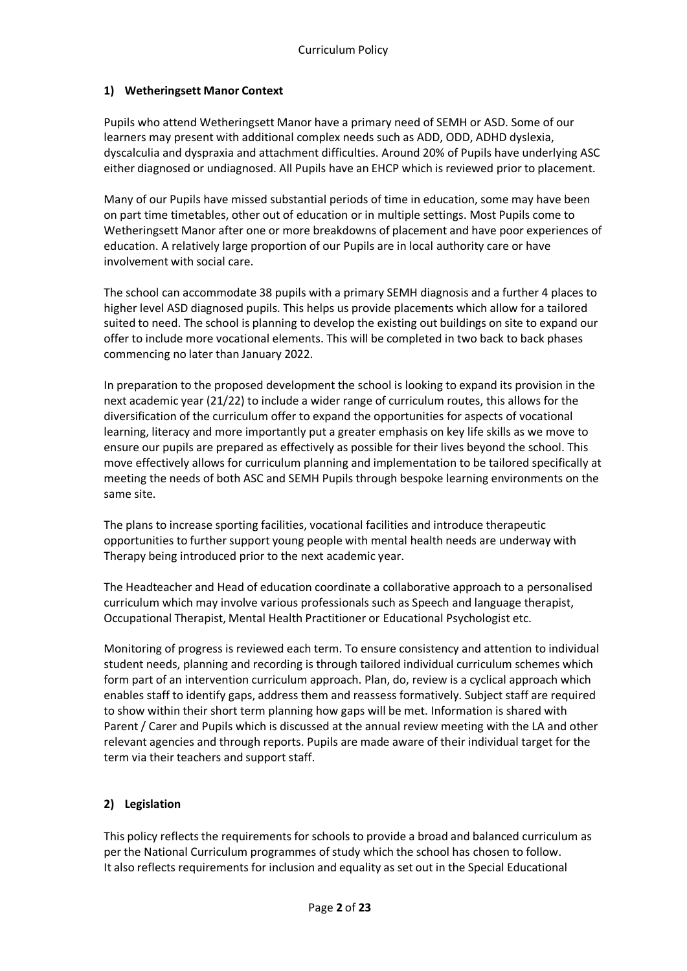# **1) Wetheringsett Manor Context**

Pupils who attend Wetheringsett Manor have a primary need of SEMH or ASD. Some of our learners may present with additional complex needs such as ADD, ODD, ADHD dyslexia, dyscalculia and dyspraxia and attachment difficulties. Around 20% of Pupils have underlying ASC either diagnosed or undiagnosed. All Pupils have an EHCP which is reviewed prior to placement.

Many of our Pupils have missed substantial periods of time in education, some may have been on part time timetables, other out of education or in multiple settings. Most Pupils come to Wetheringsett Manor after one or more breakdowns of placement and have poor experiences of education. A relatively large proportion of our Pupils are in local authority care or have involvement with social care.

The school can accommodate 38 pupils with a primary SEMH diagnosis and a further 4 places to higher level ASD diagnosed pupils. This helps us provide placements which allow for a tailored suited to need. The school is planning to develop the existing out buildings on site to expand our offer to include more vocational elements. This will be completed in two back to back phases commencing no later than January 2022.

In preparation to the proposed development the school is looking to expand its provision in the next academic year (21/22) to include a wider range of curriculum routes, this allows for the diversification of the curriculum offer to expand the opportunities for aspects of vocational learning, literacy and more importantly put a greater emphasis on key life skills as we move to ensure our pupils are prepared as effectively as possible for their lives beyond the school. This move effectively allows for curriculum planning and implementation to be tailored specifically at meeting the needs of both ASC and SEMH Pupils through bespoke learning environments on the same site.

The plans to increase sporting facilities, vocational facilities and introduce therapeutic opportunities to further support young people with mental health needs are underway with Therapy being introduced prior to the next academic year.

The Headteacher and Head of education coordinate a collaborative approach to a personalised curriculum which may involve various professionals such as Speech and language therapist, Occupational Therapist, Mental Health Practitioner or Educational Psychologist etc.

Monitoring of progress is reviewed each term. To ensure consistency and attention to individual student needs, planning and recording is through tailored individual curriculum schemes which form part of an intervention curriculum approach. Plan, do, review is a cyclical approach which enables staff to identify gaps, address them and reassess formatively. Subject staff are required to show within their short term planning how gaps will be met. Information is shared with Parent / Carer and Pupils which is discussed at the annual review meeting with the LA and other relevant agencies and through reports. Pupils are made aware of their individual target for the term via their teachers and support staff.

# **2) Legislation**

This policy reflects the requirements for schools to provide a broad and balanced curriculum as per the National Curriculum programmes of study which the school has chosen to follow. It also reflects requirements for inclusion and equality as set out in the Special Educational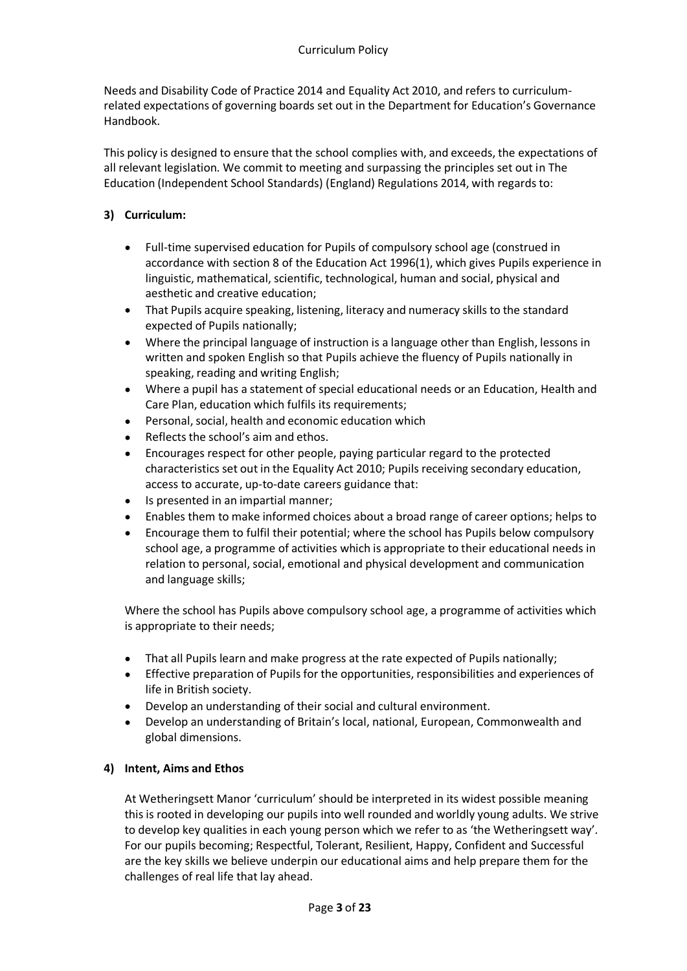Needs and Disability Code of Practice 2014 and Equality Act 2010, and refers to curriculumrelated expectations of governing boards set out in the Department for Education's Governance Handbook.

This policy is designed to ensure that the school complies with, and exceeds, the expectations of all relevant legislation. We commit to meeting and surpassing the principles set out in The Education (Independent School Standards) (England) Regulations 2014, with regards to:

# **3) Curriculum:**

- Full-time supervised education for Pupils of compulsory school age (construed in accordance with section 8 of the Education Act 1996(1), which gives Pupils experience in linguistic, mathematical, scientific, technological, human and social, physical and aesthetic and creative education;
- That Pupils acquire speaking, listening, literacy and numeracy skills to the standard  $\bullet$ expected of Pupils nationally;
- Where the principal language of instruction is a language other than English, lessons in written and spoken English so that Pupils achieve the fluency of Pupils nationally in speaking, reading and writing English;
- Where a pupil has a statement of special educational needs or an Education, Health and Care Plan, education which fulfils its requirements;
- Personal, social, health and economic education which
- Reflects the school's aim and ethos.
- Encourages respect for other people, paying particular regard to the protected characteristics set out in the Equality Act 2010; Pupils receiving secondary education, access to accurate, up-to-date careers guidance that:
- Is presented in an impartial manner;  $\bullet$
- Enables them to make informed choices about a broad range of career options; helps to
- Encourage them to fulfil their potential; where the school has Pupils below compulsory school age, a programme of activities which is appropriate to their educational needs in relation to personal, social, emotional and physical development and communication and language skills;

Where the school has Pupils above compulsory school age, a programme of activities which is appropriate to their needs;

- That all Pupils learn and make progress at the rate expected of Pupils nationally;  $\bullet$
- Effective preparation of Pupils for the opportunities, responsibilities and experiences of life in British society.
- Develop an understanding of their social and cultural environment.
- Develop an understanding of Britain's local, national, European, Commonwealth and global dimensions.

# **4) Intent, Aims and Ethos**

At Wetheringsett Manor 'curriculum' should be interpreted in its widest possible meaning this is rooted in developing our pupils into well rounded and worldly young adults. We strive to develop key qualities in each young person which we refer to as 'the Wetheringsett way'. For our pupils becoming; Respectful, Tolerant, Resilient, Happy, Confident and Successful are the key skills we believe underpin our educational aims and help prepare them for the challenges of real life that lay ahead.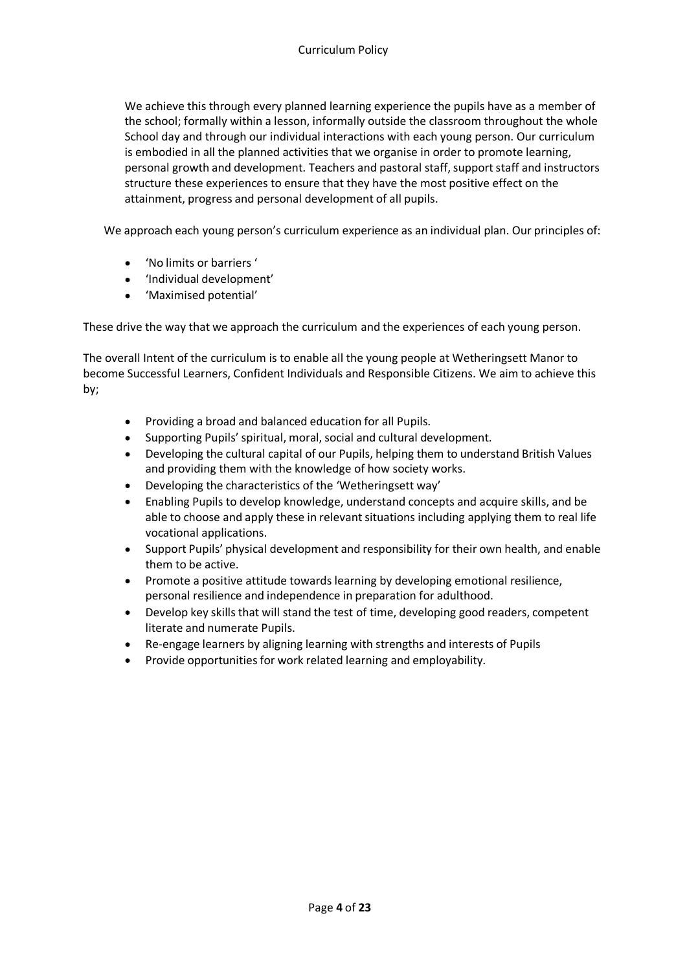We achieve this through every planned learning experience the pupils have as a member of the school; formally within a lesson, informally outside the classroom throughout the whole School day and through our individual interactions with each young person. Our curriculum is embodied in all the planned activities that we organise in order to promote learning, personal growth and development. Teachers and pastoral staff, support staff and instructors structure these experiences to ensure that they have the most positive effect on the attainment, progress and personal development of all pupils.

We approach each young person's curriculum experience as an individual plan. Our principles of:

- 'No limits or barriers '
- 'Individual development'
- 'Maximised potential'

These drive the way that we approach the curriculum and the experiences of each young person.

The overall Intent of the curriculum is to enable all the young people at Wetheringsett Manor to become Successful Learners, Confident Individuals and Responsible Citizens. We aim to achieve this by;

- Providing a broad and balanced education for all Pupils.  $\bullet$
- Supporting Pupils' spiritual, moral, social and cultural development.
- $\bullet$ Developing the cultural capital of our Pupils, helping them to understand British Values and providing them with the knowledge of how society works.
- Developing the characteristics of the 'Wetheringsett way'
- Enabling Pupils to develop knowledge, understand concepts and acquire skills, and be able to choose and apply these in relevant situations including applying them to real life vocational applications.
- Support Pupils' physical development and responsibility for their own health, and enable  $\bullet$ them to be active.
- Promote a positive attitude towards learning by developing emotional resilience, personal resilience and independence in preparation for adulthood.
- $\bullet$ Develop key skills that will stand the test of time, developing good readers, competent literate and numerate Pupils.
- Re-engage learners by aligning learning with strengths and interests of Pupils
- Provide opportunities for work related learning and employability.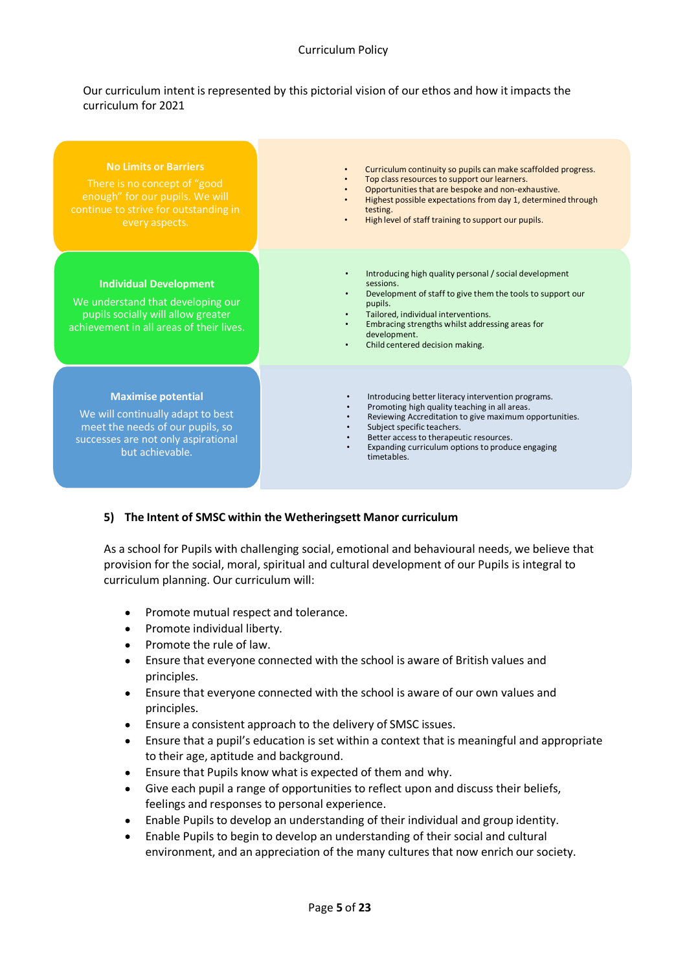## Curriculum Policy

## Our curriculum intent is represented by this pictorial vision of our ethos and how it impacts the curriculum for 2021

| <b>No Limits or Barriers</b><br>There is no concept of "good<br>enough" for our pupils. We will<br>continue to strive for outstanding in<br>every aspects.   | Curriculum continuity so pupils can make scaffolded progress.<br>Top class resources to support our learners.<br>Opportunities that are bespoke and non-exhaustive.<br>$\bullet$<br>Highest possible expectations from day 1, determined through<br>testing.<br>High level of staff training to support our pupils.    |
|--------------------------------------------------------------------------------------------------------------------------------------------------------------|------------------------------------------------------------------------------------------------------------------------------------------------------------------------------------------------------------------------------------------------------------------------------------------------------------------------|
| <b>Individual Development</b><br>We understand that developing our<br>pupils socially will allow greater<br>achievement in all areas of their lives.         | Introducing high quality personal / social development<br>sessions.<br>Development of staff to give them the tools to support our<br>pupils.<br>Tailored, individual interventions.<br>$\bullet$<br>Embracing strengths whilst addressing areas for<br>development.<br>Child centered decision making.                 |
| <b>Maximise potential</b><br>We will continually adapt to best<br>meet the needs of our pupils, so<br>successes are not only aspirational<br>but achievable. | Introducing better literacy intervention programs.<br>$\bullet$<br>Promoting high quality teaching in all areas.<br>Reviewing Accreditation to give maximum opportunities.<br>Subject specific teachers.<br>Better access to therapeutic resources.<br>Expanding curriculum options to produce engaging<br>timetables. |

# **5) The Intent of SMSC within the Wetheringsett Manor curriculum**

As a school for Pupils with challenging social, emotional and behavioural needs, we believe that provision for the social, moral, spiritual and cultural development of our Pupils is integral to curriculum planning. Our curriculum will:

- Promote mutual respect and tolerance.  $\bullet$
- $\bullet$ Promote individual liberty.
- Promote the rule of law.
- $\bullet$ Ensure that everyone connected with the school is aware of British values and principles.
- Ensure that everyone connected with the school is aware of our own values and  $\bullet$ principles.
- Ensure a consistent approach to the delivery of SMSC issues.
- Ensure that a pupil's education is set within a context that is meaningful and appropriate to their age, aptitude and background.
- Ensure that Pupils know what is expected of them and why.  $\bullet$
- Give each pupil a range of opportunities to reflect upon and discuss their beliefs, feelings and responses to personal experience.
- Enable Pupils to develop an understanding of their individual and group identity.
- Enable Pupils to begin to develop an understanding of their social and cultural environment, and an appreciation of the many cultures that now enrich our society.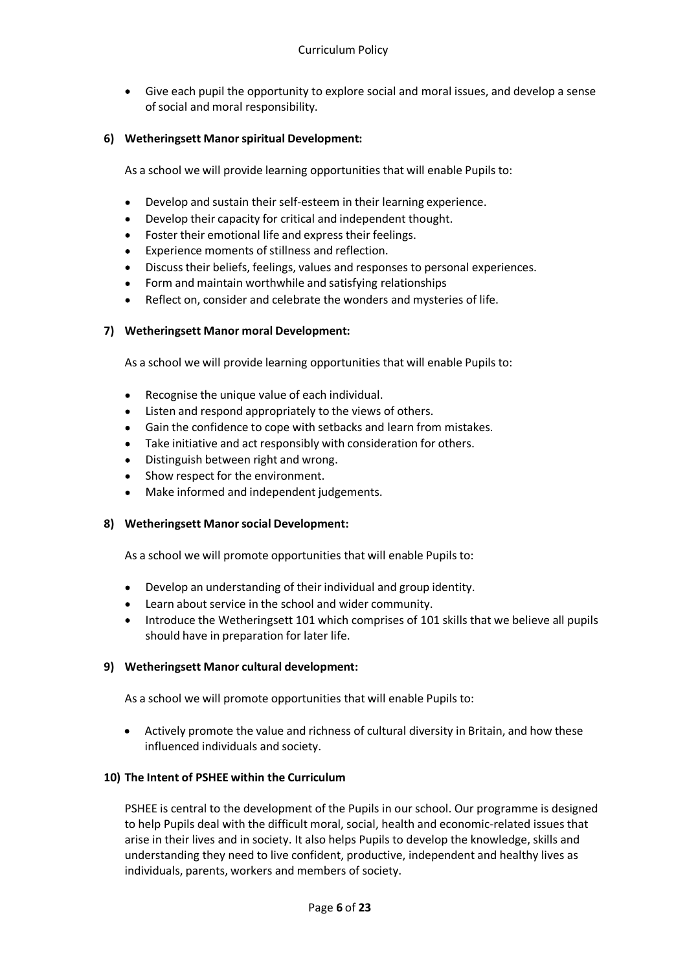Give each pupil the opportunity to explore social and moral issues, and develop a sense of social and moral responsibility.

## **6) Wetheringsett Manorspiritual Development:**

As a school we will provide learning opportunities that will enable Pupils to:

- Develop and sustain their self-esteem in their learning experience.
- Develop their capacity for critical and independent thought.
- Foster their emotional life and express their feelings.  $\bullet$
- Experience moments of stillness and reflection.
- Discuss their beliefs, feelings, values and responses to personal experiences.  $\bullet$
- Form and maintain worthwhile and satisfying relationships
- Reflect on, consider and celebrate the wonders and mysteries of life.

## **7) Wetheringsett Manor moral Development:**

As a school we will provide learning opportunities that will enable Pupils to:

- $\bullet$ Recognise the unique value of each individual.
- Listen and respond appropriately to the views of others.
- Gain the confidence to cope with setbacks and learn from mistakes.
- Take initiative and act responsibly with consideration for others.
- Distinguish between right and wrong.
- Show respect for the environment.
- Make informed and independent judgements.

## **8) Wetheringsett Manorsocial Development:**

As a school we will promote opportunities that will enable Pupils to:

- Develop an understanding of their individual and group identity.
- Learn about service in the school and wider community.  $\bullet$
- Introduce the Wetheringsett 101 which comprises of 101 skills that we believe all pupils should have in preparation for later life.

## **9) Wetheringsett Manor cultural development:**

As a school we will promote opportunities that will enable Pupils to:

Actively promote the value and richness of cultural diversity in Britain, and how these  $\bullet$ influenced individuals and society.

## **10) The Intent of PSHEE within the Curriculum**

PSHEE is central to the development of the Pupils in our school. Our programme is designed to help Pupils deal with the difficult moral, social, health and economic-related issues that arise in their lives and in society. It also helps Pupils to develop the knowledge, skills and understanding they need to live confident, productive, independent and healthy lives as individuals, parents, workers and members of society.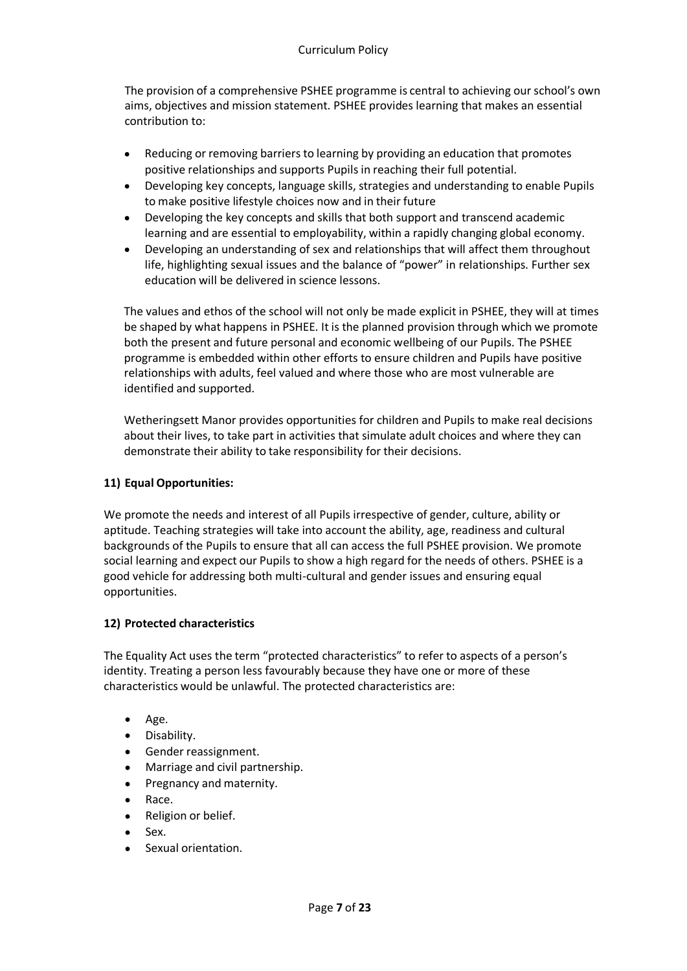The provision of a comprehensive PSHEE programme is central to achieving ourschool's own aims, objectives and mission statement. PSHEE provides learning that makes an essential contribution to:

- Reducing or removing barriers to learning by providing an education that promotes positive relationships and supports Pupils in reaching their full potential.
- $\bullet$ Developing key concepts, language skills, strategies and understanding to enable Pupils to make positive lifestyle choices now and in their future
- Developing the key concepts and skills that both support and transcend academic  $\bullet$ learning and are essential to employability, within a rapidly changing global economy.
- $\bullet$ Developing an understanding of sex and relationships that will affect them throughout life, highlighting sexual issues and the balance of "power" in relationships. Further sex education will be delivered in science lessons.

The values and ethos of the school will not only be made explicit in PSHEE, they will at times be shaped by what happens in PSHEE. It is the planned provision through which we promote both the present and future personal and economic wellbeing of our Pupils. The PSHEE programme is embedded within other efforts to ensure children and Pupils have positive relationships with adults, feel valued and where those who are most vulnerable are identified and supported.

Wetheringsett Manor provides opportunities for children and Pupils to make real decisions about their lives, to take part in activities that simulate adult choices and where they can demonstrate their ability to take responsibility for their decisions.

# **11) Equal Opportunities:**

We promote the needs and interest of all Pupils irrespective of gender, culture, ability or aptitude. Teaching strategies will take into account the ability, age, readiness and cultural backgrounds of the Pupils to ensure that all can access the full PSHEE provision. We promote social learning and expect our Pupils to show a high regard for the needs of others. PSHEE is a good vehicle for addressing both multi-cultural and gender issues and ensuring equal opportunities.

# **12) Protected characteristics**

The Equality Act uses the term "protected characteristics" to refer to aspects of a person's identity. Treating a person less favourably because they have one or more of these characteristics would be unlawful. The protected characteristics are:

- Age.
- $\bullet$ Disability.
- Gender reassignment.
- Marriage and civil partnership.
- Pregnancy and maternity.
- Race.
- Religion or belief.
- Sex.
- Sexual orientation.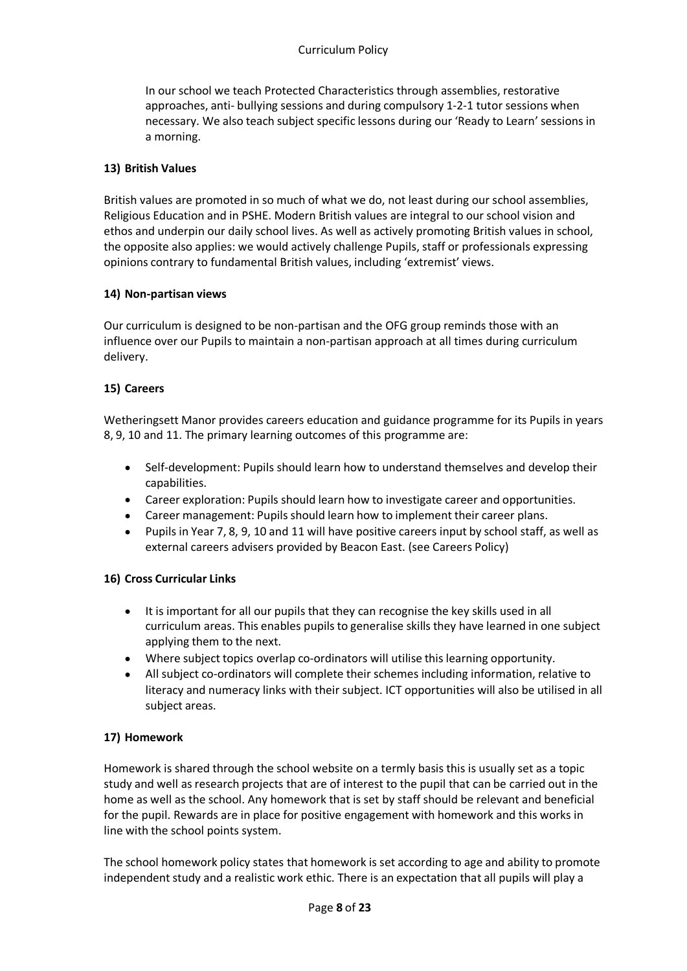In our school we teach Protected Characteristics through assemblies, restorative approaches, anti- bullying sessions and during compulsory 1-2-1 tutor sessions when necessary. We also teach subject specific lessons during our 'Ready to Learn'sessions in a morning.

# **13) British Values**

British values are promoted in so much of what we do, not least during our school assemblies, Religious Education and in PSHE. Modern British values are integral to our school vision and ethos and underpin our daily school lives. As well as actively promoting British values in school, the opposite also applies: we would actively challenge Pupils, staff or professionals expressing opinions contrary to fundamental British values, including 'extremist' views.

## **14) Non-partisan views**

Our curriculum is designed to be non-partisan and the OFG group reminds those with an influence over our Pupils to maintain a non-partisan approach at all times during curriculum delivery.

## **15) Careers**

Wetheringsett Manor provides careers education and guidance programme for its Pupils in years 8, 9, 10 and 11. The primary learning outcomes of this programme are:

- Self-development: Pupils should learn how to understand themselves and develop their  $\bullet$ capabilities.
- Career exploration: Pupils should learn how to investigate career and opportunities.
- Career management: Pupils should learn how to implement their career plans.
- Pupils in Year 7, 8, 9, 10 and 11 will have positive careers input by school staff, as well as external careers advisers provided by Beacon East. (see Careers Policy)

# **16) Cross Curricular Links**

- It is important for all our pupils that they can recognise the key skills used in all curriculum areas. This enables pupils to generalise skills they have learned in one subject applying them to the next.
- Where subject topics overlap co-ordinators will utilise this learning opportunity.
- All subject co-ordinators will complete their schemes including information, relative to literacy and numeracy links with their subject. ICT opportunities will also be utilised in all subject areas.

# **17) Homework**

Homework is shared through the school website on a termly basis this is usually set as a topic study and well as research projects that are of interest to the pupil that can be carried out in the home as well as the school. Any homework that is set by staff should be relevant and beneficial for the pupil. Rewards are in place for positive engagement with homework and this works in line with the school points system.

The school homework policy states that homework is set according to age and ability to promote independent study and a realistic work ethic. There is an expectation that all pupils will play a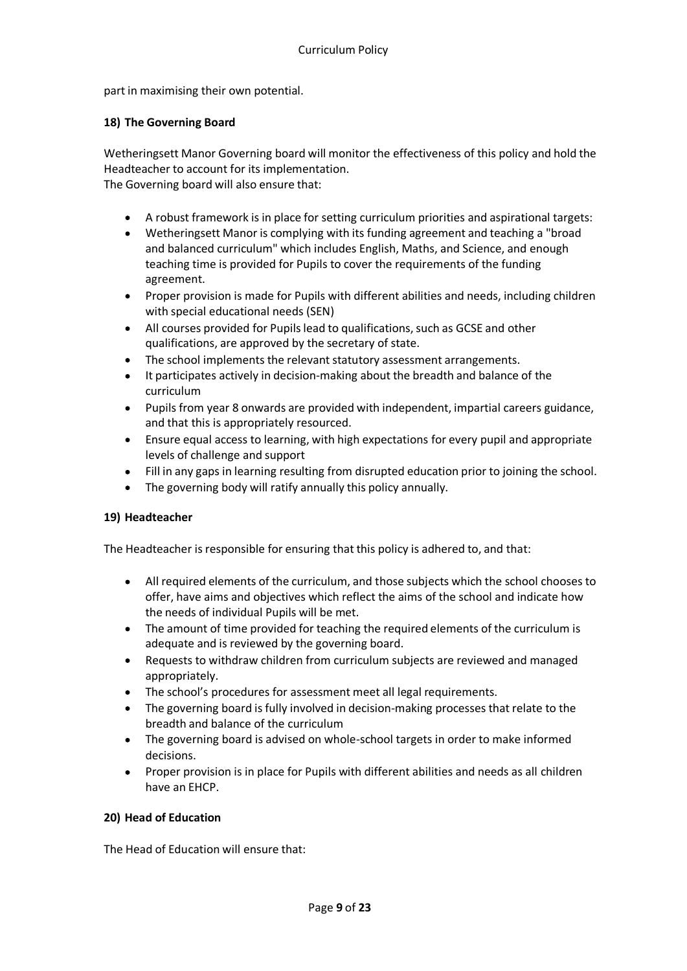part in maximising their own potential.

## **18) The Governing Board**

Wetheringsett Manor Governing board will monitor the effectiveness of this policy and hold the Headteacher to account for its implementation. The Governing board will also ensure that:

- A robust framework is in place for setting curriculum priorities and aspirational targets:
- Wetheringsett Manor is complying with its funding agreement and teaching a "broad and balanced curriculum" which includes English, Maths, and Science, and enough teaching time is provided for Pupils to cover the requirements of the funding agreement.
- Proper provision is made for Pupils with different abilities and needs, including children  $\bullet$ with special educational needs (SEN)
- All courses provided for Pupils lead to qualifications, such as GCSE and other qualifications, are approved by the secretary of state.
- The school implements the relevant statutory assessment arrangements.
- It participates actively in decision-making about the breadth and balance of the curriculum
- Pupils from year 8 onwards are provided with independent, impartial careers guidance, and that this is appropriately resourced.
- Ensure equal access to learning, with high expectations for every pupil and appropriate levels of challenge and support
- Fill in any gaps in learning resulting from disrupted education prior to joining the school.
- The governing body will ratify annually this policy annually.

## **19) Headteacher**

The Headteacher is responsible for ensuring that this policy is adhered to, and that:

- All required elements of the curriculum, and those subjects which the school chooses to  $\bullet$ offer, have aims and objectives which reflect the aims of the school and indicate how the needs of individual Pupils will be met.
- The amount of time provided for teaching the required elements of the curriculum is adequate and is reviewed by the governing board.
- Requests to withdraw children from curriculum subjects are reviewed and managed appropriately.
- The school's procedures for assessment meet all legal requirements.
- The governing board is fully involved in decision-making processes that relate to the breadth and balance of the curriculum
- The governing board is advised on whole-school targets in order to make informed decisions.
- Proper provision is in place for Pupils with different abilities and needs as all children have an EHCP.

## **20) Head of Education**

The Head of Education will ensure that: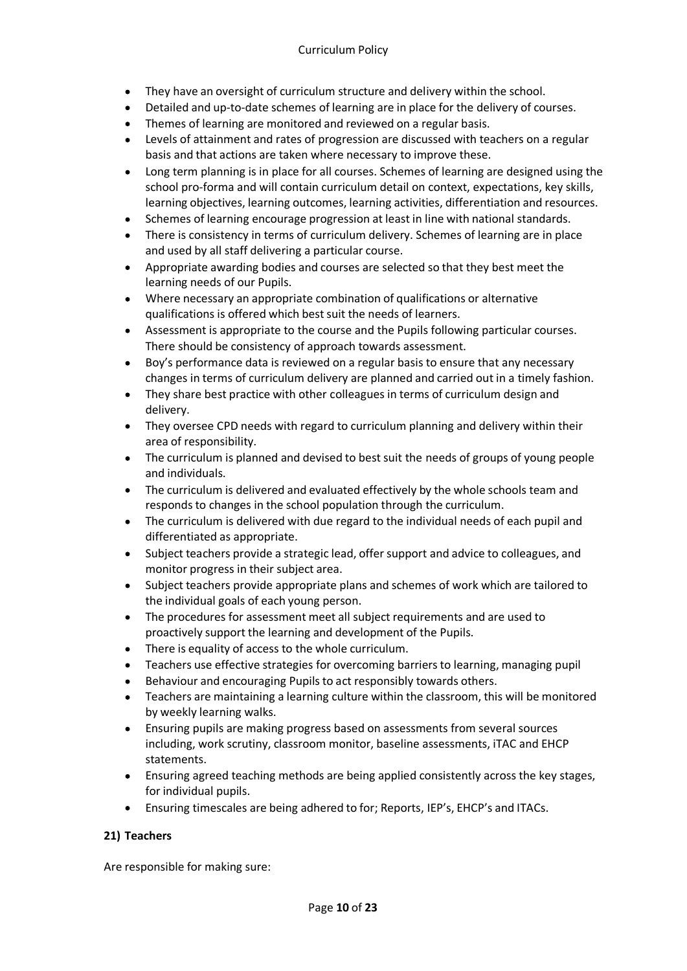- They have an oversight of curriculum structure and delivery within the school.
- Detailed and up-to-date schemes of learning are in place for the delivery of courses.
- Themes of learning are monitored and reviewed on a regular basis.
- Levels of attainment and rates of progression are discussed with teachers on a regular basis and that actions are taken where necessary to improve these.
- Long term planning is in place for all courses. Schemes of learning are designed using the school pro-forma and will contain curriculum detail on context, expectations, key skills, learning objectives, learning outcomes, learning activities, differentiation and resources.
- Schemes of learning encourage progression at least in line with national standards.
- There is consistency in terms of curriculum delivery. Schemes of learning are in place and used by all staff delivering a particular course.
- Appropriate awarding bodies and courses are selected so that they best meet the  $\bullet$ learning needs of our Pupils.
- Where necessary an appropriate combination of qualifications or alternative qualifications is offered which bestsuit the needs of learners.
- Assessment is appropriate to the course and the Pupils following particular courses. There should be consistency of approach towards assessment.
- Boy's performance data is reviewed on a regular basis to ensure that any necessary changes in terms of curriculum delivery are planned and carried out in a timely fashion.
- They share best practice with other colleagues in terms of curriculum design and delivery.
- They oversee CPD needs with regard to curriculum planning and delivery within their area of responsibility.
- The curriculum is planned and devised to bestsuit the needs of groups of young people and individuals.
- The curriculum is delivered and evaluated effectively by the whole schools team and responds to changes in the school population through the curriculum.
- The curriculum is delivered with due regard to the individual needs of each pupil and  $\bullet$ differentiated as appropriate.
- Subject teachers provide a strategic lead, offer support and advice to colleagues, and monitor progress in their subject area.
- Subject teachers provide appropriate plans and schemes of work which are tailored to the individual goals of each young person.
- The procedures for assessment meet all subject requirements and are used to  $\bullet$ proactively support the learning and development of the Pupils.
- There is equality of access to the whole curriculum.
- Teachers use effective strategies for overcoming barriers to learning, managing pupil
- Behaviour and encouraging Pupils to act responsibly towards others.
- Teachers are maintaining a learning culture within the classroom, this will be monitored by weekly learning walks.
- Ensuring pupils are making progress based on assessments from several sources including, work scrutiny, classroom monitor, baseline assessments, iTAC and EHCP statements.
- Ensuring agreed teaching methods are being applied consistently across the key stages, for individual pupils.
- Ensuring timescales are being adhered to for; Reports, IEP's, EHCP's and ITACs.

# **21) Teachers**

Are responsible for making sure: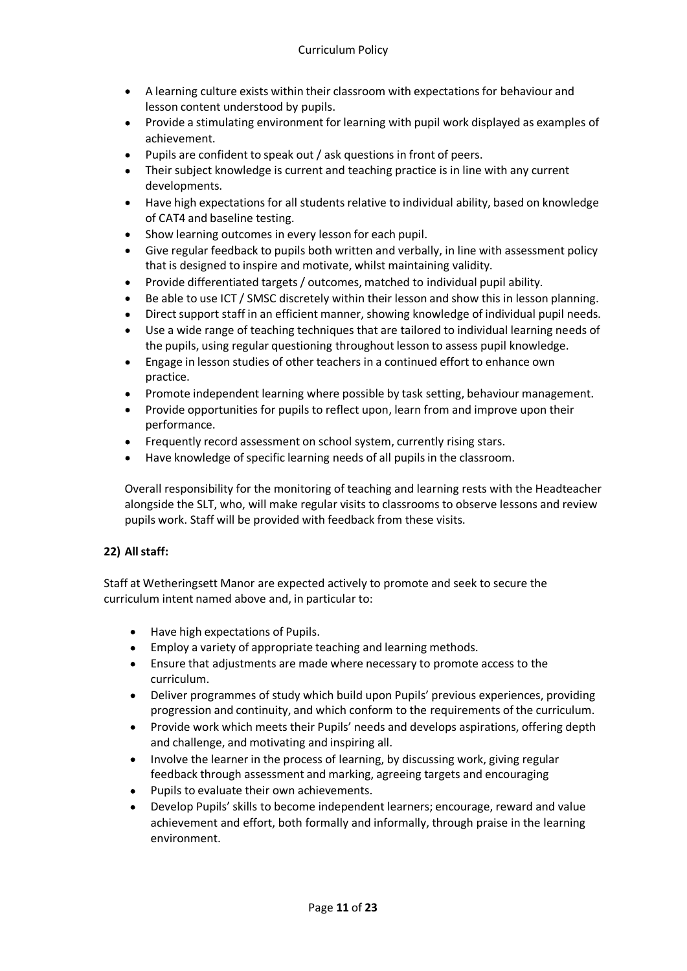- A learning culture exists within their classroom with expectations for behaviour and lesson content understood by pupils.
- Provide a stimulating environment for learning with pupil work displayed as examples of achievement.
- Pupils are confident to speak out / ask questions in front of peers.
- Their subject knowledge is current and teaching practice is in line with any current developments.
- Have high expectations for all students relative to individual ability, based on knowledge of CAT4 and baseline testing.
- Show learning outcomes in every lesson for each pupil.
- Give regular feedback to pupils both written and verbally, in line with assessment policy that is designed to inspire and motivate, whilst maintaining validity.
- Provide differentiated targets / outcomes, matched to individual pupil ability.
- Be able to use ICT / SMSC discretely within their lesson and show this in lesson planning.
- Direct support staff in an efficient manner, showing knowledge of individual pupil needs.
- Use a wide range of teaching techniques that are tailored to individual learning needs of the pupils, using regular questioning throughout lesson to assess pupil knowledge.
- Engage in lesson studies of other teachers in a continued effort to enhance own practice.
- Promote independent learning where possible by task setting, behaviour management.
- Provide opportunities for pupils to reflect upon, learn from and improve upon their performance.
- Frequently record assessment on school system, currently rising stars.
- Have knowledge of specific learning needs of all pupils in the classroom.

Overall responsibility for the monitoring of teaching and learning rests with the Headteacher alongside the SLT, who, will make regular visits to classrooms to observe lessons and review pupils work. Staff will be provided with feedback from these visits.

# **22) Allstaff:**

Staff at Wetheringsett Manor are expected actively to promote and seek to secure the curriculum intent named above and, in particular to:

- Have high expectations of Pupils.
- Employ a variety of appropriate teaching and learning methods.
- Ensure that adjustments are made where necessary to promote access to the curriculum.
- Deliver programmes of study which build upon Pupils' previous experiences, providing progression and continuity, and which conform to the requirements of the curriculum.
- Provide work which meets their Pupils' needs and develops aspirations, offering depth and challenge, and motivating and inspiring all.
- Involve the learner in the process of learning, by discussing work, giving regular feedback through assessment and marking, agreeing targets and encouraging
- Pupils to evaluate their own achievements.
- Develop Pupils' skills to become independent learners; encourage, reward and value achievement and effort, both formally and informally, through praise in the learning environment.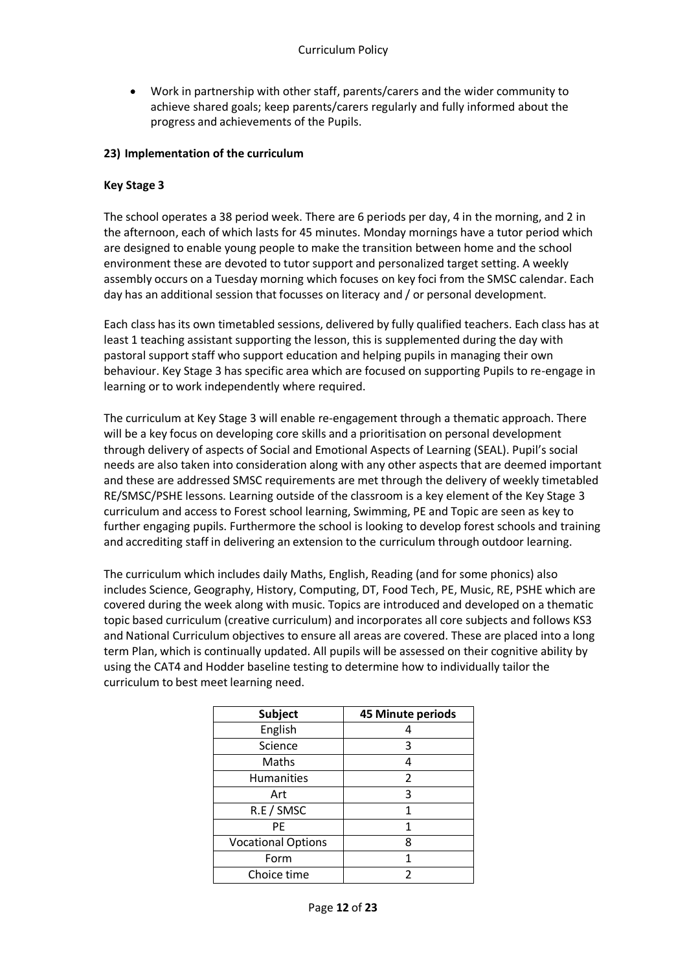Work in partnership with other staff, parents/carers and the wider community to  $\bullet$ achieve shared goals; keep parents/carers regularly and fully informed about the progress and achievements of the Pupils.

## **23) Implementation of the curriculum**

## **Key Stage 3**

The school operates a 38 period week. There are 6 periods per day, 4 in the morning, and 2 in the afternoon, each of which lasts for 45 minutes. Monday mornings have a tutor period which are designed to enable young people to make the transition between home and the school environment these are devoted to tutor support and personalized target setting. A weekly assembly occurs on a Tuesday morning which focuses on key foci from the SMSC calendar. Each day has an additional session that focusses on literacy and / or personal development.

Each class has its own timetabled sessions, delivered by fully qualified teachers. Each class has at least 1 teaching assistant supporting the lesson, this is supplemented during the day with pastoral support staff who support education and helping pupils in managing their own behaviour. Key Stage 3 has specific area which are focused on supporting Pupils to re-engage in learning or to work independently where required.

The curriculum at Key Stage 3 will enable re-engagement through a thematic approach. There will be a key focus on developing core skills and a prioritisation on personal development through delivery of aspects of Social and Emotional Aspects of Learning (SEAL). Pupil's social needs are also taken into consideration along with any other aspects that are deemed important and these are addressed SMSC requirements are met through the delivery of weekly timetabled RE/SMSC/PSHE lessons. Learning outside of the classroom is a key element of the Key Stage 3 curriculum and access to Forest school learning, Swimming, PE and Topic are seen as key to further engaging pupils. Furthermore the school is looking to develop forest schools and training and accrediting staff in delivering an extension to the curriculum through outdoor learning.

The curriculum which includes daily Maths, English, Reading (and for some phonics) also includes Science, Geography, History, Computing, DT, Food Tech, PE, Music, RE, PSHE which are covered during the week along with music. Topics are introduced and developed on a thematic topic based curriculum (creative curriculum) and incorporates all core subjects and follows KS3 and National Curriculum objectives to ensure all areas are covered. These are placed into a long term Plan, which is continually updated. All pupils will be assessed on their cognitive ability by using the CAT4 and Hodder baseline testing to determine how to individually tailor the curriculum to best meet learning need.

| <b>Subject</b>            | 45 Minute periods |
|---------------------------|-------------------|
| English                   | 4                 |
| Science                   | 3                 |
| Maths                     | 4                 |
| <b>Humanities</b>         | $\overline{2}$    |
| Art                       | 3                 |
| R.E / SMSC                | 1                 |
| <b>PE</b>                 | 1                 |
| <b>Vocational Options</b> | 8                 |
| Form                      | 1                 |
| Choice time               | 2                 |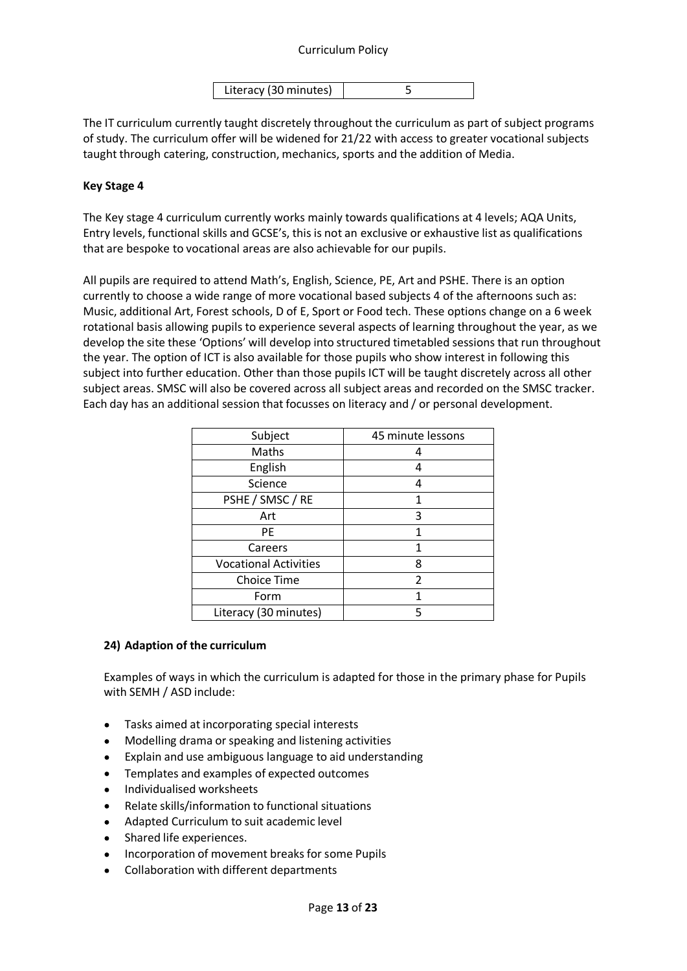## Curriculum Policy

| Literacy (30 minutes) |  |
|-----------------------|--|

The IT curriculum currently taught discretely throughout the curriculum as part of subject programs of study. The curriculum offer will be widened for 21/22 with access to greater vocational subjects taught through catering, construction, mechanics, sports and the addition of Media.

## **Key Stage 4**

The Key stage 4 curriculum currently works mainly towards qualifications at 4 levels; AQA Units, Entry levels, functional skills and GCSE's, this is not an exclusive or exhaustive list as qualifications that are bespoke to vocational areas are also achievable for our pupils.

All pupils are required to attend Math's, English, Science, PE, Art and PSHE. There is an option currently to choose a wide range of more vocational based subjects 4 of the afternoons such as: Music, additional Art, Forest schools, D of E, Sport or Food tech. These options change on a 6 week rotational basis allowing pupils to experience several aspects of learning throughout the year, as we develop the site these 'Options' will develop into structured timetabled sessions that run throughout the year. The option of ICT is also available for those pupils who show interest in following this subject into further education. Other than those pupils ICT will be taught discretely across all other subject areas. SMSC will also be covered across all subject areas and recorded on the SMSC tracker. Each day has an additional session that focusses on literacy and / or personal development.

| Subject                      | 45 minute lessons |
|------------------------------|-------------------|
| Maths                        | 4                 |
| English                      | 4                 |
| Science                      | 4                 |
| PSHE / SMSC / RE             | 1                 |
| Art                          | 3                 |
| <b>PE</b>                    | 1                 |
| Careers                      | 1                 |
| <b>Vocational Activities</b> | 8                 |
| <b>Choice Time</b>           | 2                 |
| Form                         | 1                 |
| Literacy (30 minutes)        | 5                 |

## **24) Adaption of the curriculum**

Examples of ways in which the curriculum is adapted for those in the primary phase for Pupils with SEMH / ASD include:

- Tasks aimed at incorporating special interests
- Modelling drama orspeaking and listening activities
- Explain and use ambiguous language to aid understanding
- Templates and examples of expected outcomes
- Individualised worksheets
- Relate skills/information to functional situations
- Adapted Curriculum to suit academic level
- Shared life experiences.
- Incorporation of movement breaks forsome Pupils
- Collaboration with different departments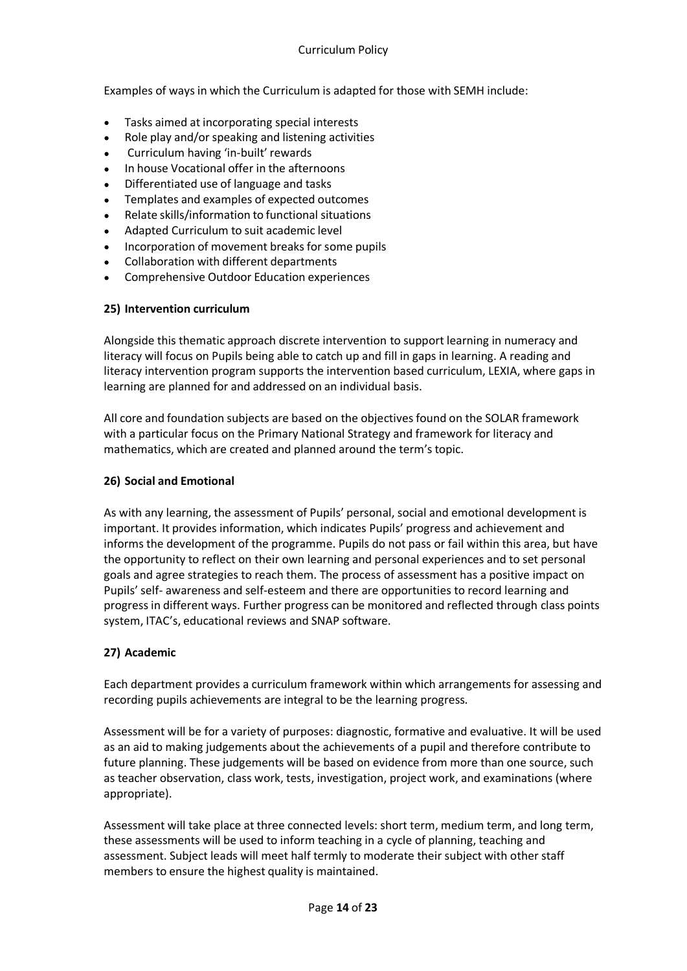Examples of ways in which the Curriculum is adapted for those with SEMH include:

- Tasks aimed at incorporating special interests  $\bullet$
- $\bullet$ Role play and/orspeaking and listening activities
- Curriculum having 'in-built' rewards  $\bullet$
- In house Vocational offer in the afternoons  $\bullet$
- Differentiated use of language and tasks
- Templates and examples of expected outcomes  $\bullet$
- Relate skills/information to functional situations  $\bullet$
- Adapted Curriculum to suit academic level
- Incorporation of movement breaks forsome pupils  $\bullet$
- Collaboration with different departments
- Comprehensive Outdoor Education experiences  $\bullet$

## **25) Intervention curriculum**

Alongside this thematic approach discrete intervention to support learning in numeracy and literacy will focus on Pupils being able to catch up and fill in gaps in learning. A reading and literacy intervention program supports the intervention based curriculum, LEXIA, where gaps in learning are planned for and addressed on an individual basis.

All core and foundation subjects are based on the objectives found on the SOLAR framework with a particular focus on the Primary National Strategy and framework for literacy and mathematics, which are created and planned around the term's topic.

## **26) Social and Emotional**

As with any learning, the assessment of Pupils' personal, social and emotional development is important. It provides information, which indicates Pupils' progress and achievement and informs the development of the programme. Pupils do not pass or fail within this area, but have the opportunity to reflect on their own learning and personal experiences and to set personal goals and agree strategies to reach them. The process of assessment has a positive impact on Pupils' self- awareness and self-esteem and there are opportunities to record learning and progress in different ways. Further progress can be monitored and reflected through class points system, ITAC's, educational reviews and SNAP software.

## **27) Academic**

Each department provides a curriculum framework within which arrangements for assessing and recording pupils achievements are integral to be the learning progress.

Assessment will be for a variety of purposes: diagnostic, formative and evaluative. It will be used as an aid to making judgements about the achievements of a pupil and therefore contribute to future planning. These judgements will be based on evidence from more than one source, such as teacher observation, class work, tests, investigation, project work, and examinations (where appropriate).

Assessment will take place at three connected levels: short term, medium term, and long term, these assessments will be used to inform teaching in a cycle of planning, teaching and assessment. Subject leads will meet half termly to moderate their subject with other staff members to ensure the highest quality is maintained.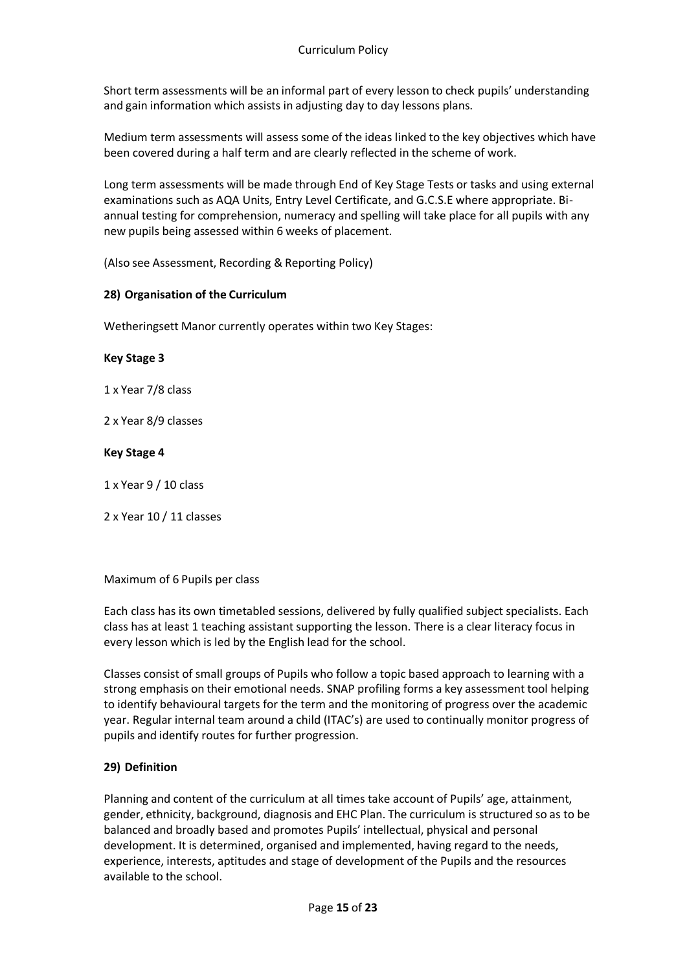Short term assessments will be an informal part of every lesson to check pupils' understanding and gain information which assists in adjusting day to day lessons plans.

Medium term assessments will assess some of the ideas linked to the key objectives which have been covered during a half term and are clearly reflected in the scheme of work.

Long term assessments will be made through End of Key Stage Tests or tasks and using external examinations such as AQA Units, Entry Level Certificate, and G.C.S.E where appropriate. Biannual testing for comprehension, numeracy and spelling will take place for all pupils with any new pupils being assessed within 6 weeks of placement.

(Also see Assessment, Recording & Reporting Policy)

## **28) Organisation of the Curriculum**

Wetheringsett Manor currently operates within two Key Stages:

## **Key Stage 3**

1 x Year 7/8 class

2 x Year 8/9 classes

#### **Key Stage 4**

1 x Year 9 / 10 class

2 x Year 10 / 11 classes

## Maximum of 6 Pupils per class

Each class has its own timetabled sessions, delivered by fully qualified subject specialists. Each class has at least 1 teaching assistant supporting the lesson. There is a clear literacy focus in every lesson which is led by the English lead for the school.

Classes consist of small groups of Pupils who follow a topic based approach to learning with a strong emphasis on their emotional needs. SNAP profiling forms a key assessment tool helping to identify behavioural targets for the term and the monitoring of progress over the academic year. Regular internal team around a child (ITAC's) are used to continually monitor progress of pupils and identify routes for further progression.

## **29) Definition**

Planning and content of the curriculum at all times take account of Pupils' age, attainment, gender, ethnicity, background, diagnosis and EHC Plan. The curriculum is structured so as to be balanced and broadly based and promotes Pupils' intellectual, physical and personal development. It is determined, organised and implemented, having regard to the needs, experience, interests, aptitudes and stage of development of the Pupils and the resources available to the school.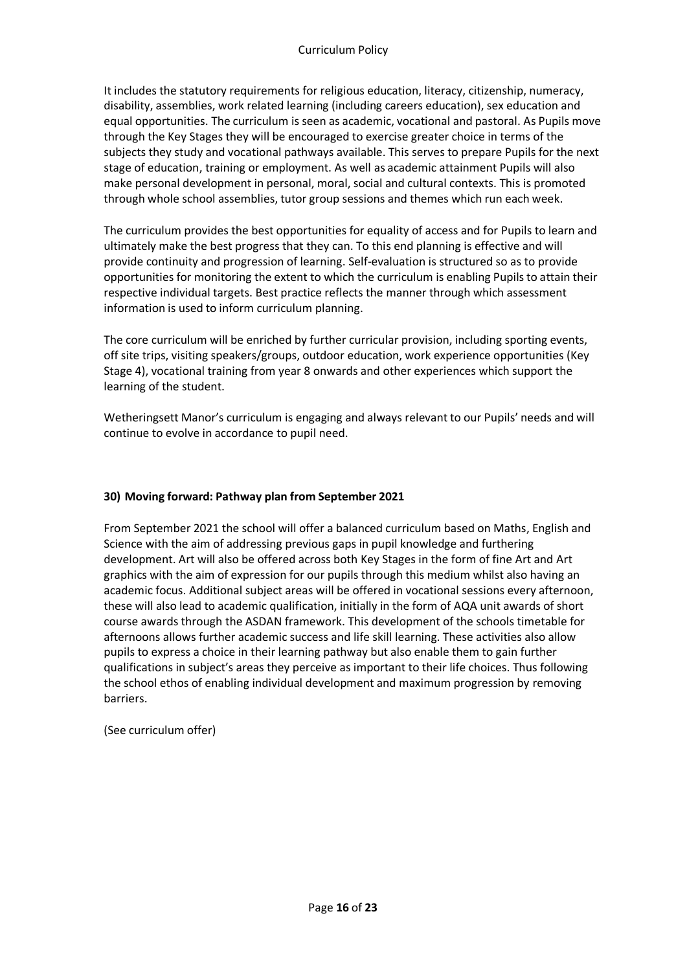It includes the statutory requirements for religious education, literacy, citizenship, numeracy, disability, assemblies, work related learning (including careers education), sex education and equal opportunities. The curriculum is seen as academic, vocational and pastoral. As Pupils move through the Key Stages they will be encouraged to exercise greater choice in terms of the subjects they study and vocational pathways available. This serves to prepare Pupils for the next stage of education, training or employment. As well as academic attainment Pupils will also make personal development in personal, moral, social and cultural contexts. This is promoted through whole school assemblies, tutor group sessions and themes which run each week.

The curriculum provides the best opportunities for equality of access and for Pupils to learn and ultimately make the best progress that they can. To this end planning is effective and will provide continuity and progression of learning. Self-evaluation is structured so as to provide opportunities for monitoring the extent to which the curriculum is enabling Pupils to attain their respective individual targets. Best practice reflects the manner through which assessment information is used to inform curriculum planning.

The core curriculum will be enriched by further curricular provision, including sporting events, off site trips, visiting speakers/groups, outdoor education, work experience opportunities (Key Stage 4), vocational training from year 8 onwards and other experiences which support the learning of the student.

Wetheringsett Manor's curriculum is engaging and always relevant to our Pupils' needs and will continue to evolve in accordance to pupil need.

# **30) Moving forward: Pathway plan from September 2021**

From September 2021 the school will offer a balanced curriculum based on Maths, English and Science with the aim of addressing previous gaps in pupil knowledge and furthering development. Art will also be offered across both Key Stages in the form of fine Art and Art graphics with the aim of expression for our pupils through this medium whilst also having an academic focus. Additional subject areas will be offered in vocational sessions every afternoon, these will also lead to academic qualification, initially in the form of AQA unit awards of short course awards through the ASDAN framework. This development of the schools timetable for afternoons allows further academic success and life skill learning. These activities also allow pupils to express a choice in their learning pathway but also enable them to gain further qualifications in subject's areas they perceive as important to their life choices. Thus following the school ethos of enabling individual development and maximum progression by removing barriers.

(See curriculum offer)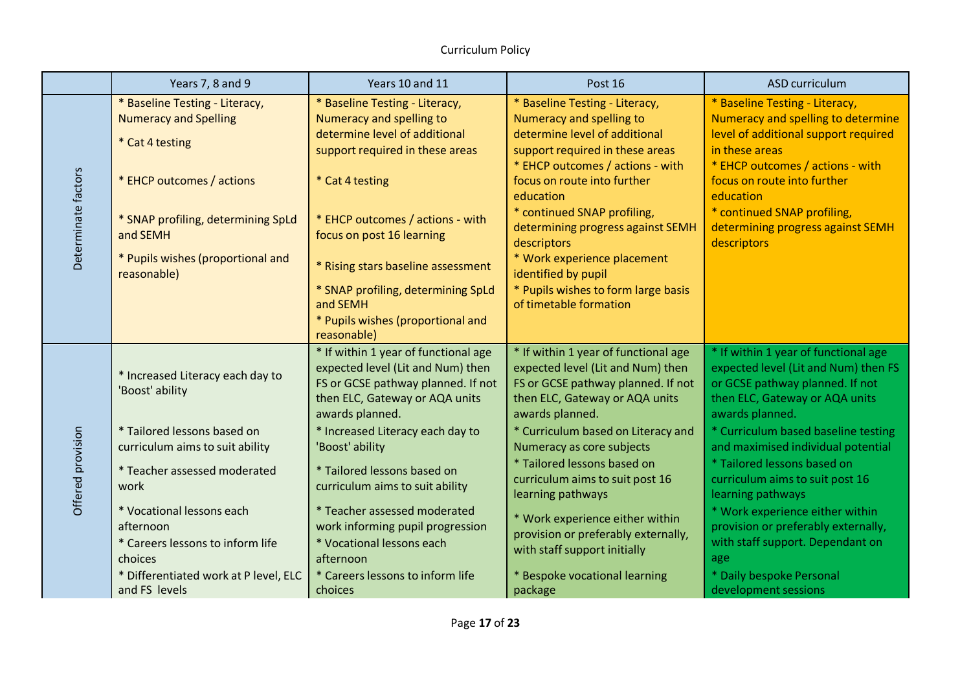|                     | Years 7, 8 and 9                                                                                                                                                                                                                                                                                                 | Years 10 and 11                                                                                                                                                                                                                                                                                                                                                                                                                                                           | Post 16                                                                                                                                                                                                                                                                                                                                                                                                                                                                              | ASD curriculum                                                                                                                                                                                                                                                                                                                                                                                                                                                                                                    |
|---------------------|------------------------------------------------------------------------------------------------------------------------------------------------------------------------------------------------------------------------------------------------------------------------------------------------------------------|---------------------------------------------------------------------------------------------------------------------------------------------------------------------------------------------------------------------------------------------------------------------------------------------------------------------------------------------------------------------------------------------------------------------------------------------------------------------------|--------------------------------------------------------------------------------------------------------------------------------------------------------------------------------------------------------------------------------------------------------------------------------------------------------------------------------------------------------------------------------------------------------------------------------------------------------------------------------------|-------------------------------------------------------------------------------------------------------------------------------------------------------------------------------------------------------------------------------------------------------------------------------------------------------------------------------------------------------------------------------------------------------------------------------------------------------------------------------------------------------------------|
| Determinate factors | * Baseline Testing - Literacy,<br><b>Numeracy and Spelling</b><br>* Cat 4 testing<br>* EHCP outcomes / actions<br>* SNAP profiling, determining SpLd<br>and SEMH<br>* Pupils wishes (proportional and<br>reasonable)                                                                                             | * Baseline Testing - Literacy,<br>Numeracy and spelling to<br>determine level of additional<br>support required in these areas<br>* Cat 4 testing<br>* EHCP outcomes / actions - with<br>focus on post 16 learning<br>* Rising stars baseline assessment<br>* SNAP profiling, determining SpLd<br>and SEMH<br>* Pupils wishes (proportional and                                                                                                                           | * Baseline Testing - Literacy,<br>Numeracy and spelling to<br>determine level of additional<br>support required in these areas<br>* EHCP outcomes / actions - with<br>focus on route into further<br>education<br>* continued SNAP profiling,<br>determining progress against SEMH<br>descriptors<br>* Work experience placement<br>identified by pupil<br>* Pupils wishes to form large basis<br>of timetable formation                                                             | * Baseline Testing - Literacy,<br>Numeracy and spelling to determine<br>level of additional support required<br>in these areas<br>* EHCP outcomes / actions - with<br>focus on route into further<br>education<br>* continued SNAP profiling,<br>determining progress against SEMH<br>descriptors                                                                                                                                                                                                                 |
| Offered provision   | * Increased Literacy each day to<br>'Boost' ability<br>* Tailored lessons based on<br>curriculum aims to suit ability<br>* Teacher assessed moderated<br>work<br>* Vocational lessons each<br>afternoon<br>* Careers lessons to inform life<br>choices<br>* Differentiated work at P level, ELC<br>and FS levels | reasonable)<br>* If within 1 year of functional age<br>expected level (Lit and Num) then<br>FS or GCSE pathway planned. If not<br>then ELC, Gateway or AQA units<br>awards planned.<br>* Increased Literacy each day to<br>'Boost' ability<br>* Tailored lessons based on<br>curriculum aims to suit ability<br>* Teacher assessed moderated<br>work informing pupil progression<br>* Vocational lessons each<br>afternoon<br>* Careers lessons to inform life<br>choices | * If within 1 year of functional age<br>expected level (Lit and Num) then<br>FS or GCSE pathway planned. If not<br>then ELC, Gateway or AQA units<br>awards planned.<br>* Curriculum based on Literacy and<br>Numeracy as core subjects<br>* Tailored lessons based on<br>curriculum aims to suit post 16<br>learning pathways<br>* Work experience either within<br>provision or preferably externally,<br>with staff support initially<br>* Bespoke vocational learning<br>package | * If within 1 year of functional age<br>expected level (Lit and Num) then FS<br>or GCSE pathway planned. If not<br>then ELC, Gateway or AQA units<br>awards planned.<br>* Curriculum based baseline testing<br>and maximised individual potential<br>* Tailored lessons based on<br>curriculum aims to suit post 16<br>learning pathways<br>* Work experience either within<br>provision or preferably externally,<br>with staff support. Dependant on<br>age<br>* Daily bespoke Personal<br>development sessions |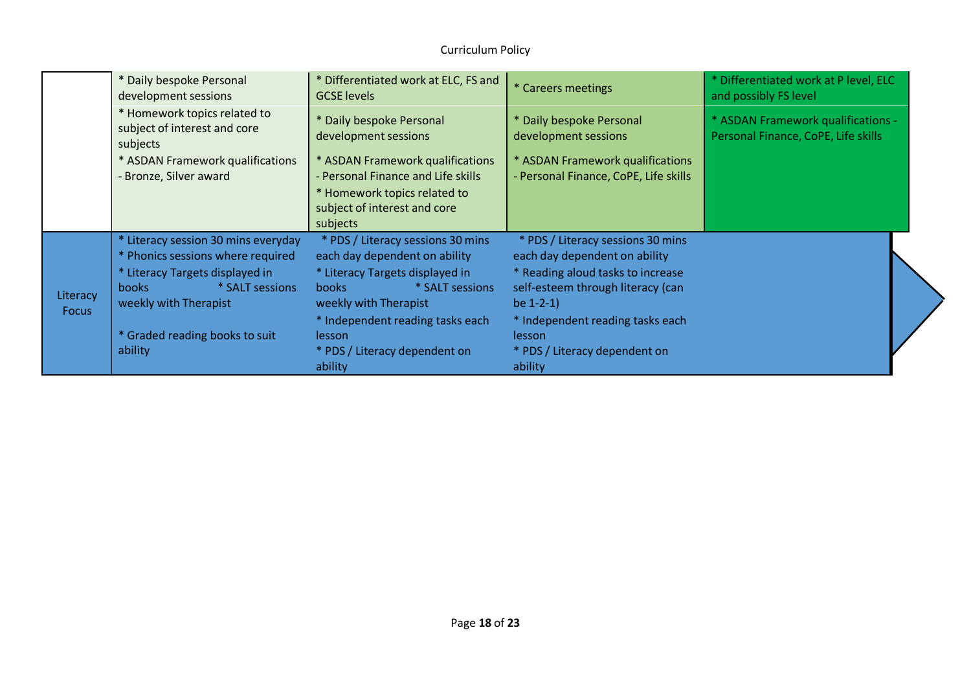|                          | * Daily bespoke Personal<br>development sessions                                                                                                                        | * Differentiated work at ELC, FS and<br><b>GCSE</b> levels                                                                                                        | * Careers meetings                                                                                                                                         | * Differentiated work at P level, ELC<br>and possibly FS level            |
|--------------------------|-------------------------------------------------------------------------------------------------------------------------------------------------------------------------|-------------------------------------------------------------------------------------------------------------------------------------------------------------------|------------------------------------------------------------------------------------------------------------------------------------------------------------|---------------------------------------------------------------------------|
|                          | * Homework topics related to<br>subject of interest and core<br>subjects                                                                                                | * Daily bespoke Personal<br>development sessions                                                                                                                  | * Daily bespoke Personal<br>development sessions                                                                                                           | * ASDAN Framework qualifications -<br>Personal Finance, CoPE, Life skills |
|                          | * ASDAN Framework qualifications<br>Bronze, Silver award                                                                                                                | * ASDAN Framework qualifications<br>- Personal Finance and Life skills<br>* Homework topics related to<br>subject of interest and core<br>subjects                | * ASDAN Framework qualifications<br>- Personal Finance, CoPE, Life skills                                                                                  |                                                                           |
| Literacy<br><b>Focus</b> | * Literacy session 30 mins everyday<br>* Phonics sessions where required<br>* Literacy Targets displayed in<br>* SALT sessions<br><b>books</b><br>weekly with Therapist | * PDS / Literacy sessions 30 mins<br>each day dependent on ability<br>* Literacy Targets displayed in<br>* SALT sessions<br><b>books</b><br>weekly with Therapist | * PDS / Literacy sessions 30 mins<br>each day dependent on ability<br>* Reading aloud tasks to increase<br>self-esteem through literacy (can<br>be $1-2-1$ |                                                                           |
|                          | * Graded reading books to suit<br>ability                                                                                                                               | * Independent reading tasks each<br>lesson<br>* PDS / Literacy dependent on<br>ability                                                                            | * Independent reading tasks each<br>lesson<br>* PDS / Literacy dependent on<br>ability                                                                     |                                                                           |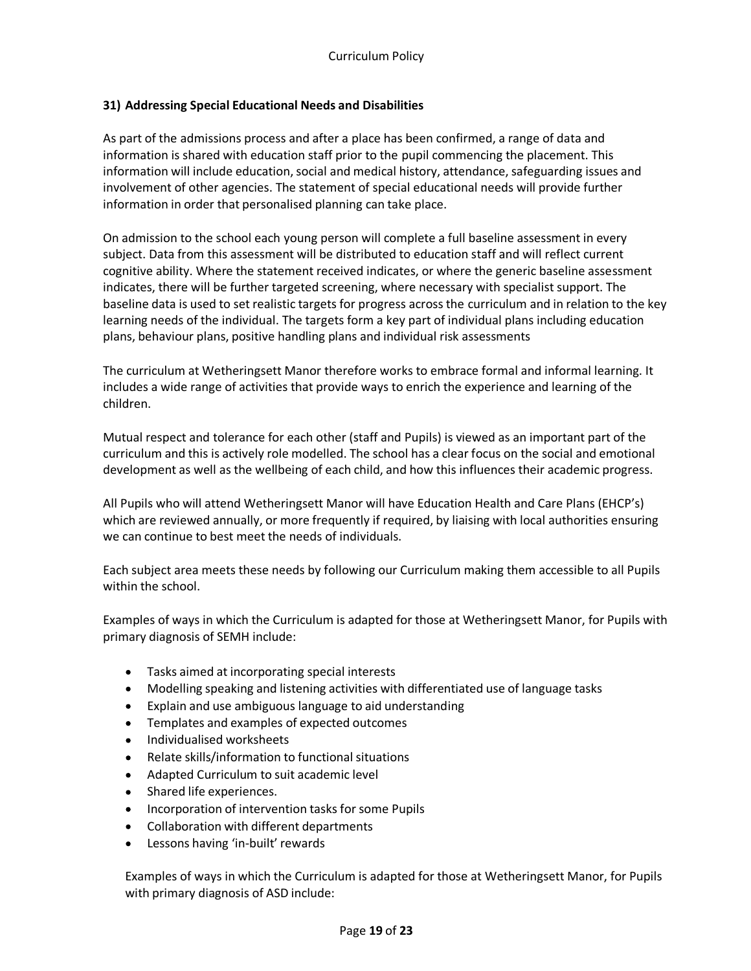## **31) Addressing Special Educational Needs and Disabilities**

As part of the admissions process and after a place has been confirmed, a range of data and information is shared with education staff prior to the pupil commencing the placement. This information will include education, social and medical history, attendance, safeguarding issues and involvement of other agencies. The statement of special educational needs will provide further information in order that personalised planning can take place.

On admission to the school each young person will complete a full baseline assessment in every subject. Data from this assessment will be distributed to education staff and will reflect current cognitive ability. Where the statement received indicates, or where the generic baseline assessment indicates, there will be further targeted screening, where necessary with specialist support. The baseline data is used to set realistic targets for progress across the curriculum and in relation to the key learning needs of the individual. The targets form a key part of individual plans including education plans, behaviour plans, positive handling plans and individual risk assessments

The curriculum at Wetheringsett Manor therefore works to embrace formal and informal learning. It includes a wide range of activities that provide ways to enrich the experience and learning of the children.

Mutual respect and tolerance for each other (staff and Pupils) is viewed as an important part of the curriculum and this is actively role modelled. The school has a clear focus on the social and emotional development as well as the wellbeing of each child, and how this influences their academic progress.

All Pupils who will attend Wetheringsett Manor will have Education Health and Care Plans (EHCP's) which are reviewed annually, or more frequently if required, by liaising with local authorities ensuring we can continue to best meet the needs of individuals.

Each subject area meets these needs by following our Curriculum making them accessible to all Pupils within the school.

Examples of ways in which the Curriculum is adapted for those at Wetheringsett Manor, for Pupils with primary diagnosis of SEMH include:

- Tasks aimed at incorporating special interests  $\bullet$
- Modelling speaking and listening activities with differentiated use of language tasks
- Explain and use ambiguous language to aid understanding
- Templates and examples of expected outcomes
- Individualised worksheets
- Relate skills/information to functional situations
- Adapted Curriculum to suit academic level
- Shared life experiences.
- Incorporation of intervention tasks for some Pupils
- Collaboration with different departments
- Lessons having 'in-built' rewards

Examples of ways in which the Curriculum is adapted for those at Wetheringsett Manor, for Pupils with primary diagnosis of ASD include: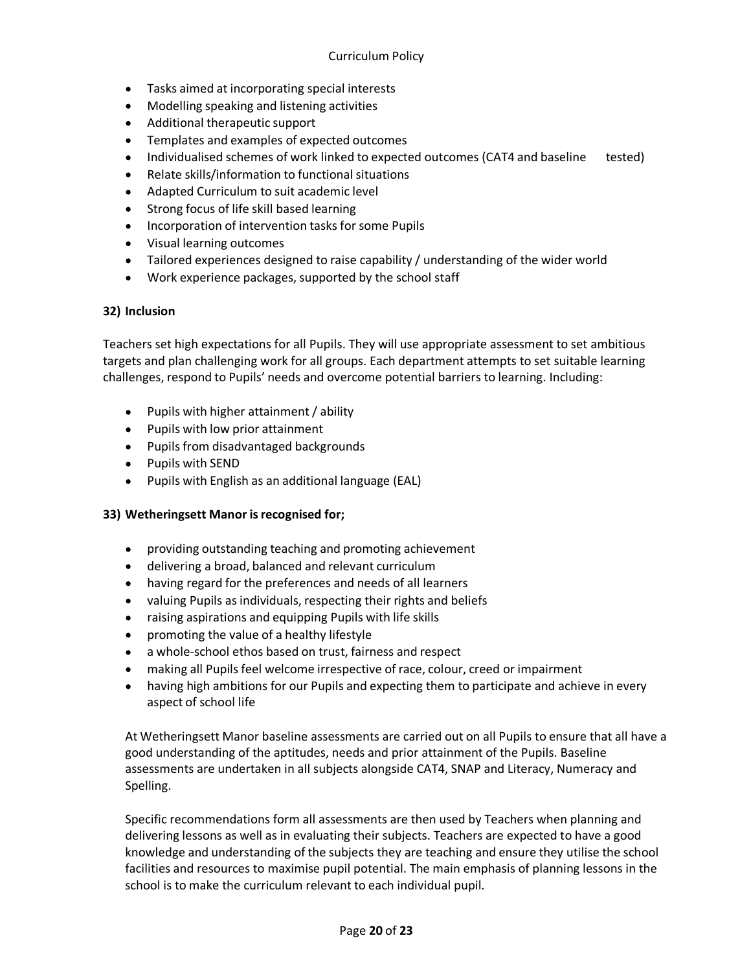- Tasks aimed at incorporating special interests  $\bullet$
- Modelling speaking and listening activities
- Additional therapeutic support
- Templates and examples of expected outcomes
- Individualised schemes of work linked to expected outcomes (CAT4 and baseline tested)
- Relate skills/information to functional situations
- Adapted Curriculum to suit academic level
- Strong focus of life skill based learning
- Incorporation of intervention tasks for some Pupils
- Visual learning outcomes
- Tailored experiences designed to raise capability / understanding of the wider world
- Work experience packages, supported by the school staff

## **32) Inclusion**

Teachers set high expectations for all Pupils. They will use appropriate assessment to set ambitious targets and plan challenging work for all groups. Each department attempts to set suitable learning challenges, respond to Pupils' needs and overcome potential barriers to learning. Including:

- Pupils with higher attainment/ ability
- Pupils with low prior attainment
- Pupils from disadvantaged backgrounds
- Pupils with SEND
- Pupils with English as an additional language (EAL)  $\bullet$

## **33) Wetheringsett Manor isrecognised for;**

- $\bullet$ providing outstanding teaching and promoting achievement
- delivering a broad, balanced and relevant curriculum
- having regard for the preferences and needs of all learners
- valuing Pupils as individuals, respecting their rights and beliefs
- raising aspirations and equipping Pupils with life skills
- promoting the value of a healthy lifestyle
- a whole-school ethos based on trust, fairness and respect
- making all Pupils feel welcome irrespective of race, colour, creed or impairment
- having high ambitions for our Pupils and expecting them to participate and achieve in every aspect of school life

At Wetheringsett Manor baseline assessments are carried out on all Pupils to ensure that all have a good understanding of the aptitudes, needs and prior attainment of the Pupils. Baseline assessments are undertaken in all subjects alongside CAT4, SNAP and Literacy, Numeracy and Spelling.

Specific recommendations form all assessments are then used by Teachers when planning and delivering lessons as well as in evaluating their subjects. Teachers are expected to have a good knowledge and understanding of the subjects they are teaching and ensure they utilise the school facilities and resources to maximise pupil potential. The main emphasis of planning lessons in the school is to make the curriculum relevant to each individual pupil.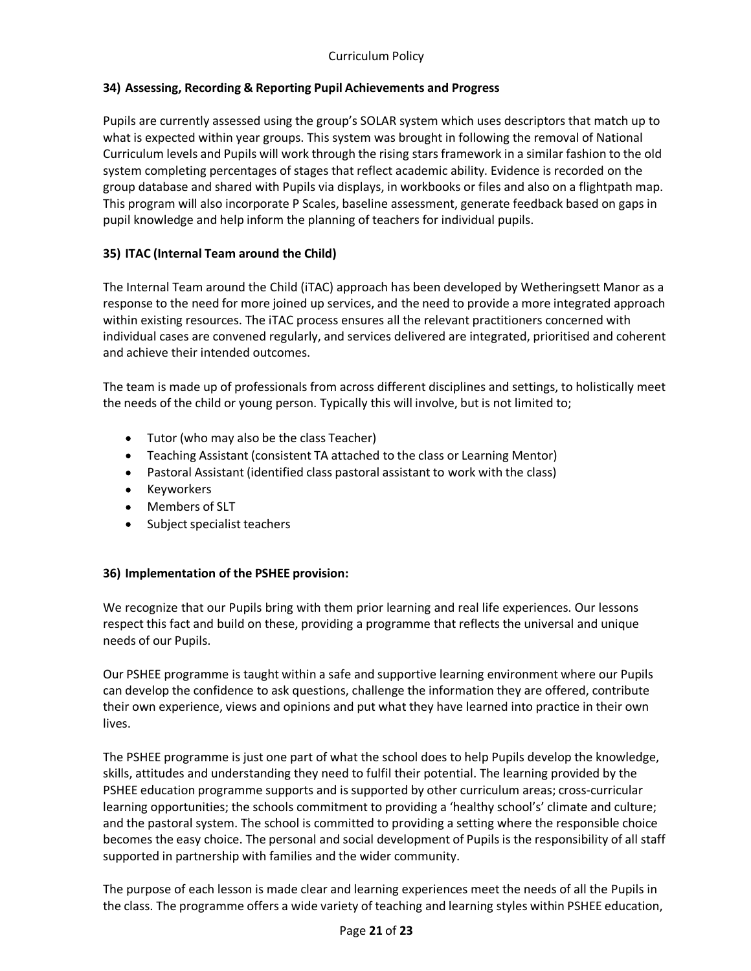# **34) Assessing, Recording & Reporting Pupil Achievements and Progress**

Pupils are currently assessed using the group's SOLAR system which uses descriptors that match up to what is expected within year groups. This system was brought in following the removal of National Curriculum levels and Pupils will work through the rising stars framework in a similar fashion to the old system completing percentages of stages that reflect academic ability. Evidence is recorded on the group database and shared with Pupils via displays, in workbooks or files and also on a flightpath map. This program will also incorporate P Scales, baseline assessment, generate feedback based on gaps in pupil knowledge and help inform the planning of teachers for individual pupils.

## **35) ITAC (Internal Team around the Child)**

The Internal Team around the Child (iTAC) approach has been developed by Wetheringsett Manor as a response to the need for more joined up services, and the need to provide a more integrated approach within existing resources. The iTAC process ensures all the relevant practitioners concerned with individual cases are convened regularly, and services delivered are integrated, prioritised and coherent and achieve their intended outcomes.

The team is made up of professionals from across different disciplines and settings, to holistically meet the needs of the child or young person. Typically this will involve, but is not limited to;

- Tutor (who may also be the class Teacher)
- Teaching Assistant (consistent TA attached to the class or Learning Mentor)
- Pastoral Assistant (identified class pastoral assistant to work with the class)
- Keyworkers
- Members of SLT  $\bullet$
- Subject specialist teachers

## **36) Implementation of the PSHEE provision:**

We recognize that our Pupils bring with them prior learning and real life experiences. Our lessons respect this fact and build on these, providing a programme that reflects the universal and unique needs of our Pupils.

Our PSHEE programme is taught within a safe and supportive learning environment where our Pupils can develop the confidence to ask questions, challenge the information they are offered, contribute their own experience, views and opinions and put what they have learned into practice in their own lives.

The PSHEE programme is just one part of what the school does to help Pupils develop the knowledge, skills, attitudes and understanding they need to fulfil their potential. The learning provided by the PSHEE education programme supports and is supported by other curriculum areas; cross-curricular learning opportunities; the schools commitment to providing a 'healthy school's' climate and culture; and the pastoral system. The school is committed to providing a setting where the responsible choice becomes the easy choice. The personal and social development of Pupils is the responsibility of all staff supported in partnership with families and the wider community.

The purpose of each lesson is made clear and learning experiences meet the needs of all the Pupils in the class. The programme offers a wide variety of teaching and learning styles within PSHEE education,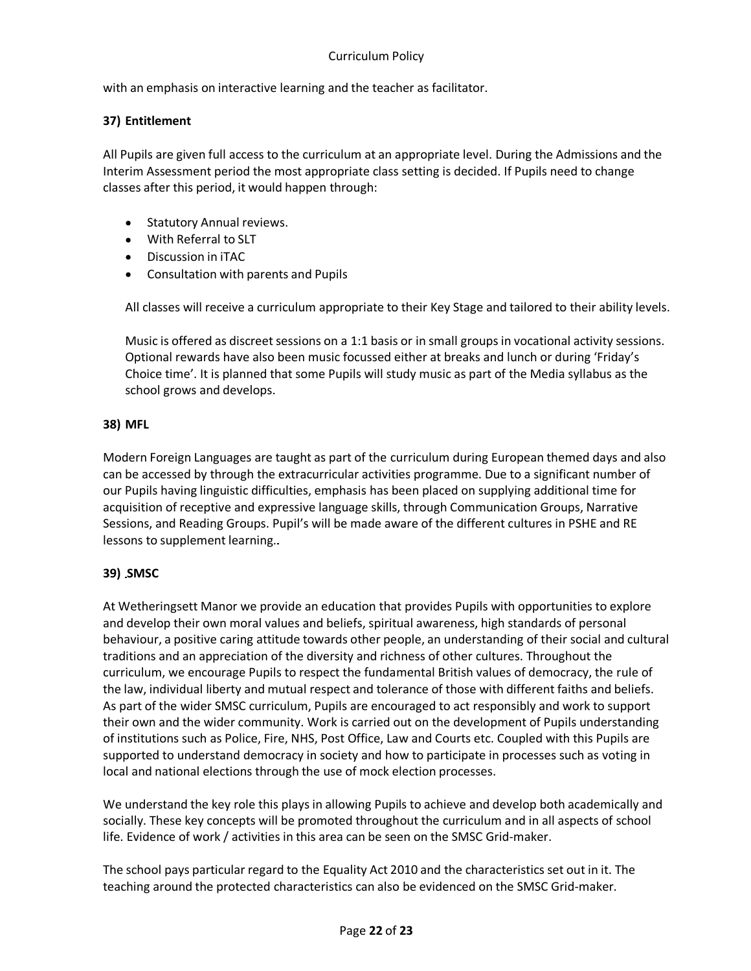## Curriculum Policy

with an emphasis on interactive learning and the teacher as facilitator.

## **37) Entitlement**

All Pupils are given full access to the curriculum at an appropriate level. During the Admissions and the Interim Assessment period the most appropriate class setting is decided. If Pupils need to change classes after this period, it would happen through:

- Statutory Annual reviews.
- With Referral to SLT
- Discussion in iTAC
- Consultation with parents and Pupils

All classes will receive a curriculum appropriate to their Key Stage and tailored to their ability levels.

Music is offered as discreet sessions on a 1:1 basis or in small groups in vocational activity sessions. Optional rewards have also been music focussed either at breaks and lunch or during 'Friday's Choice time'. It is planned that some Pupils will study music as part of the Media syllabus as the school grows and develops.

#### **38) MFL**

Modern Foreign Languages are taught as part of the curriculum during European themed days and also can be accessed by through the extracurricular activities programme. Due to a significant number of our Pupils having linguistic difficulties, emphasis has been placed on supplying additional time for acquisition of receptive and expressive language skills, through Communication Groups, Narrative Sessions, and Reading Groups. Pupil's will be made aware of the different cultures in PSHE and RE lessons to supplement learning.

## **39) SMSC**

At Wetheringsett Manor we provide an education that provides Pupils with opportunities to explore and develop their own moral values and beliefs, spiritual awareness, high standards of personal behaviour, a positive caring attitude towards other people, an understanding of their social and cultural traditions and an appreciation of the diversity and richness of other cultures. Throughout the curriculum, we encourage Pupils to respect the fundamental British values of democracy, the rule of the law, individual liberty and mutual respect and tolerance of those with different faiths and beliefs. As part of the wider SMSC curriculum, Pupils are encouraged to act responsibly and work to support their own and the wider community. Work is carried out on the development of Pupils understanding of institutions such as Police, Fire, NHS, Post Office, Law and Courts etc. Coupled with this Pupils are supported to understand democracy in society and how to participate in processes such as voting in local and national elections through the use of mock election processes.

We understand the key role this plays in allowing Pupils to achieve and develop both academically and socially. These key concepts will be promoted throughout the curriculum and in all aspects of school life. Evidence of work / activities in this area can be seen on the SMSC Grid-maker.

The school pays particular regard to the Equality Act 2010 and the characteristics set out in it. The teaching around the protected characteristics can also be evidenced on the SMSC Grid-maker.